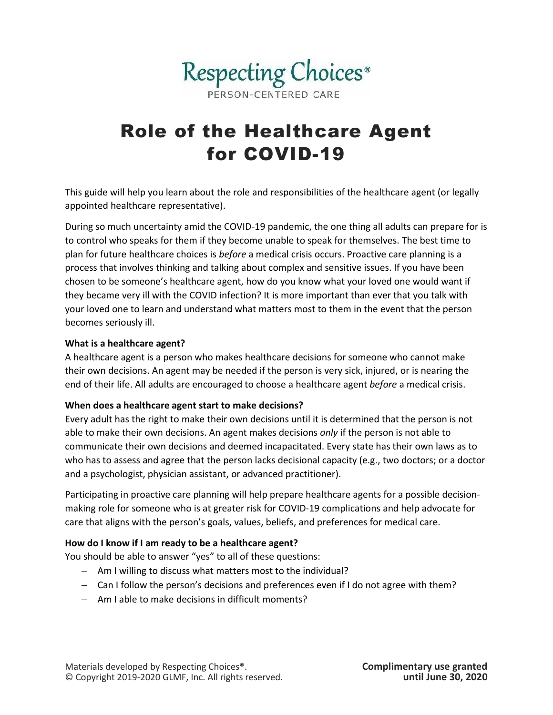

# Role of the Healthcare Agent for COVID-19

This guide will help you learn about the role and responsibilities of the healthcare agent (or legally appointed healthcare representative).

During so much uncertainty amid the COVID-19 pandemic, the one thing all adults can prepare for is to control who speaks for them if they become unable to speak for themselves. The best time to plan for future healthcare choices is *before* a medical crisis occurs. Proactive care planning is a process that involves thinking and talking about complex and sensitive issues. If you have been chosen to be someone's healthcare agent, how do you know what your loved one would want if they became very ill with the COVID infection? It is more important than ever that you talk with your loved one to learn and understand what matters most to them in the event that the person becomes seriously ill.

#### **What is a healthcare agent?**

A healthcare agent is a person who makes healthcare decisions for someone who cannot make their own decisions. An agent may be needed if the person is very sick, injured, or is nearing the end of their life. All adults are encouraged to choose a healthcare agent *before* a medical crisis.

### **When does a healthcare agent start to make decisions?**

Every adult has the right to make their own decisions until it is determined that the person is not able to make their own decisions. An agent makes decisions *only* if the person is not able to communicate their own decisions and deemed incapacitated. Every state has their own laws as to who has to assess and agree that the person lacks decisional capacity (e.g., two doctors; or a doctor and a psychologist, physician assistant, or advanced practitioner).

Participating in proactive care planning will help prepare healthcare agents for a possible decisionmaking role for someone who is at greater risk for COVID-19 complications and help advocate for care that aligns with the person's goals, values, beliefs, and preferences for medical care.

### **How do I know if I am ready to be a healthcare agent?**

You should be able to answer "yes" to all of these questions:

- − Am I willing to discuss what matters most to the individual?
- − Can I follow the person's decisions and preferences even if I do not agree with them?
- − Am I able to make decisions in difficult moments?